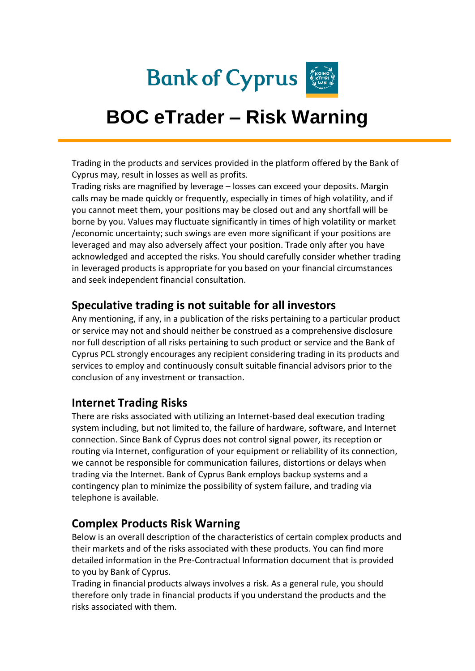

# **BOC eTrader – Risk Warning**

Trading in the products and services provided in the platform offered by the Bank of Cyprus may, result in losses as well as profits.

Trading risks are magnified by leverage – losses can exceed your deposits. Margin calls may be made quickly or frequently, especially in times of high volatility, and if you cannot meet them, your positions may be closed out and any shortfall will be borne by you. Values may fluctuate significantly in times of high volatility or market /economic uncertainty; such swings are even more significant if your positions are leveraged and may also adversely affect your position. Trade only after you have acknowledged and accepted the risks. You should carefully consider whether trading in leveraged products is appropriate for you based on your financial circumstances and seek independent financial consultation.

### **Speculative trading is not suitable for all investors**

Any mentioning, if any, in a publication of the risks pertaining to a particular product or service may not and should neither be construed as a comprehensive disclosure nor full description of all risks pertaining to such product or service and the Bank of Cyprus PCL strongly encourages any recipient considering trading in its products and services to employ and continuously consult suitable financial advisors prior to the conclusion of any investment or transaction.

### **Internet Trading Risks**

There are risks associated with utilizing an Internet-based deal execution trading system including, but not limited to, the failure of hardware, software, and Internet connection. Since Bank of Cyprus does not control signal power, its reception or routing via Internet, configuration of your equipment or reliability of its connection, we cannot be responsible for communication failures, distortions or delays when trading via the Internet. Bank of Cyprus Bank employs backup systems and a contingency plan to minimize the possibility of system failure, and trading via telephone is available.

### **Complex Products Risk Warning**

Below is an overall description of the characteristics of certain complex products and their markets and of the risks associated with these products. You can find more detailed information in the Pre-Contractual Information document that is provided to you by Bank of Cyprus.

Trading in financial products always involves a risk. As a general rule, you should therefore only trade in financial products if you understand the products and the risks associated with them.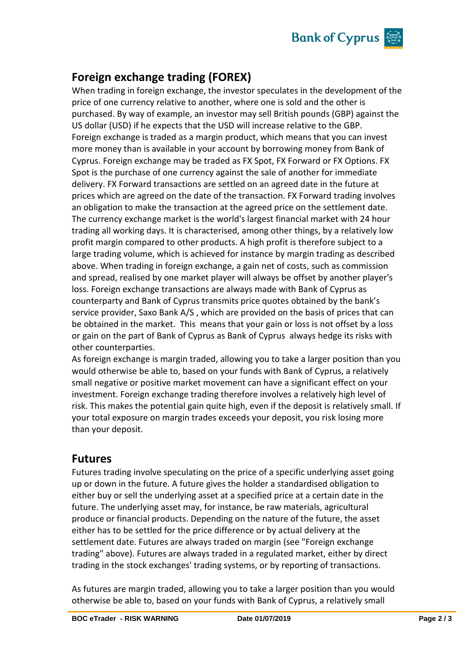

## **Foreign exchange trading (FOREX)**

When trading in foreign exchange, the investor speculates in the development of the price of one currency relative to another, where one is sold and the other is purchased. By way of example, an investor may sell British pounds (GBP) against the US dollar (USD) if he expects that the USD will increase relative to the GBP. Foreign exchange is traded as a margin product, which means that you can invest more money than is available in your account by borrowing money from Bank of Cyprus. Foreign exchange may be traded as FX Spot, FX Forward or FX Options. FX Spot is the purchase of one currency against the sale of another for immediate delivery. FX Forward transactions are settled on an agreed date in the future at prices which are agreed on the date of the transaction. FX Forward trading involves an obligation to make the transaction at the agreed price on the settlement date. The currency exchange market is the world's largest financial market with 24 hour trading all working days. It is characterised, among other things, by a relatively low profit margin compared to other products. A high profit is therefore subject to a large trading volume, which is achieved for instance by margin trading as described above. When trading in foreign exchange, a gain net of costs, such as commission and spread, realised by one market player will always be offset by another player's loss. Foreign exchange transactions are always made with Bank of Cyprus as counterparty and Bank of Cyprus transmits price quotes obtained by the bank's service provider, Saxo Bank A/S , which are provided on the basis of prices that can be obtained in the market. This means that your gain or loss is not offset by a loss or gain on the part of Bank of Cyprus as Bank of Cyprus always hedge its risks with other counterparties.

As foreign exchange is margin traded, allowing you to take a larger position than you would otherwise be able to, based on your funds with Bank of Cyprus, a relatively small negative or positive market movement can have a significant effect on your investment. Foreign exchange trading therefore involves a relatively high level of risk. This makes the potential gain quite high, even if the deposit is relatively small. If your total exposure on margin trades exceeds your deposit, you risk losing more than your deposit.

#### **Futures**

Futures trading involve speculating on the price of a specific underlying asset going up or down in the future. A future gives the holder a standardised obligation to either buy or sell the underlying asset at a specified price at a certain date in the future. The underlying asset may, for instance, be raw materials, agricultural produce or financial products. Depending on the nature of the future, the asset either has to be settled for the price difference or by actual delivery at the settlement date. Futures are always traded on margin (see "Foreign exchange trading" above). Futures are always traded in a regulated market, either by direct trading in the stock exchanges' trading systems, or by reporting of transactions.

As futures are margin traded, allowing you to take a larger position than you would otherwise be able to, based on your funds with Bank of Cyprus, a relatively small